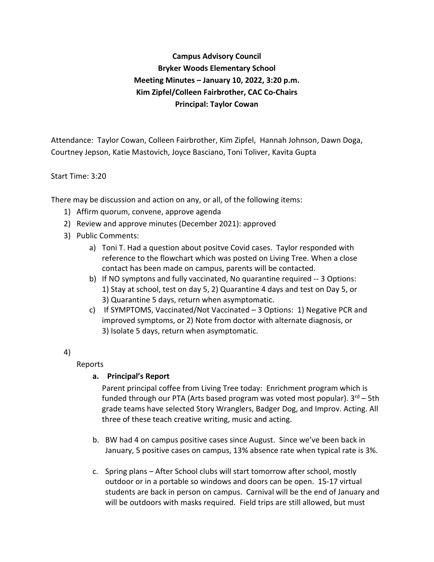# **Campus Advisory Council Bryker Woods Elementary School Meeting Minutes – January 10, 2022, 3:20 p.m. Kim Zipfel/Colleen Fairbrother, CAC Co-Chairs Principal: Taylor Cowan**

Attendance: Taylor Cowan, Colleen Fairbrother, Kim Zipfel, Hannah Johnson, Dawn Doga, Courtney Jepson, Katie Mastovich, Joyce Basciano, Toni Toliver, Kavita Gupta

## Start Time: 3:20

There may be discussion and action on any, or all, of the following items:

- 1) Affirm quorum, convene, approve agenda
- 2) Review and approve minutes (December 2021): approved
- 3) Public Comments:
	- a) Toni T. Had a question about positve Covid cases. Taylor responded with reference to the flowchart which was posted on Living Tree. When a close contact has been made on campus, parents will be contacted.
	- b) If NO symptons and fully vaccinated, No quarantine required -- 3 Options: 1) Stay at school, test on day 5, 2) Quarantine 4 days and test on Day 5, or 3) Quarantine 5 days, return when asymptomatic.
	- c) If SYMPTOMS, Vaccinated/Not Vaccinated 3 Options: 1) Negative PCR and improved symptoms, or 2) Note from doctor with alternate diagnosis, or 3) Isolate 5 days, return when asymptomatic.
- 4)

Reports

#### **a. Principal's Report**

Parent principal coffee from Living Tree today: Enrichment program which is funded through our PTA (Arts based program was voted most popular).  $3<sup>rd</sup> - 5th$ grade teams have selected Story Wranglers, Badger Dog, and Improv. Acting. All three of these teach creative writing, music and acting.

- b. BW had 4 on campus positive cases since August. Since we've been back in January, 5 positive cases on campus, 13% absence rate when typical rate is 3%.
- c. Spring plans After School clubs will start tomorrow after school, mostly outdoor or in a portable so windows and doors can be open. 15-17 virtual students are back in person on campus. Carnival will be the end of January and will be outdoors with masks required. Field trips are still allowed, but must